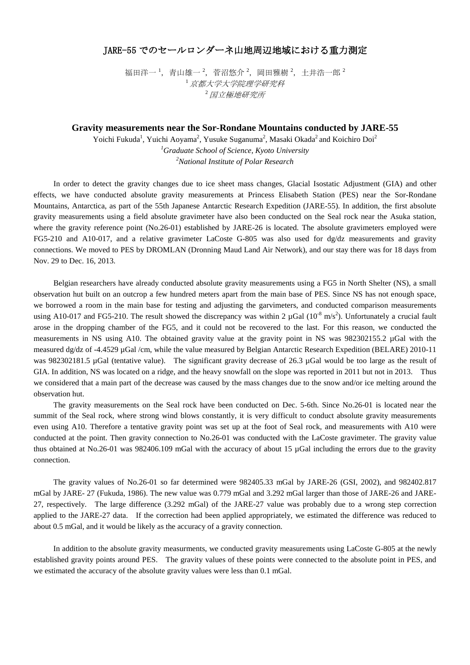## JARE-55 でのセールロンダーネ山地周辺地域における重力測定

福田洋一 ',青山雄一 <sup>2</sup>,菅沼悠介 <sup>2</sup>,岡田雅樹 <sup>2</sup>,土井浩一郎 <sup>2</sup> <sup>1</sup>京都大学大学院理学研究科 <sup>2</sup>国立極地研究所

## **Gravity measurements near the Sor-Rondane Mountains conducted by JARE-55**

Yoichi Fukuda<sup>1</sup>, Yuichi Aoyama<sup>2</sup>, Yusuke Suganuma<sup>2</sup>, Masaki Okada<sup>2</sup> and Koichiro Doi<sup>2</sup> *1 Graduate School of Science, Kyoto University 2 National Institute of Polar Research*

 In order to detect the gravity changes due to ice sheet mass changes, Glacial Isostatic Adjustment (GIA) and other effects, we have conducted absolute gravity measurements at Princess Elisabeth Station (PES) near the Sor-Rondane Mountains, Antarctica, as part of the 55th Japanese Antarctic Research Expedition (JARE-55). In addition, the first absolute gravity measurements using a field absolute gravimeter have also been conducted on the Seal rock near the Asuka station, where the gravity reference point (No.26-01) established by JARE-26 is located. The absolute gravimeters employed were FG5-210 and A10-017, and a relative gravimeter LaCoste G-805 was also used for dg/dz measurements and gravity connections. We moved to PES by DROMLAN (Dronning Maud Land Air Network), and our stay there was for 18 days from Nov. 29 to Dec. 16, 2013.

 Belgian researchers have already conducted absolute gravity measurements using a FG5 in North Shelter (NS), a small observation hut built on an outcrop a few hundred meters apart from the main base of PES. Since NS has not enough space, we borrowed a room in the main base for testing and adjusting the garvimeters, and conducted comparison measurements using A10-017 and FG5-210. The result showed the discrepancy was within 2  $\mu$ Gal (10<sup>-8</sup> m/s<sup>2</sup>). Unfortunately a crucial fault arose in the dropping chamber of the FG5, and it could not be recovered to the last. For this reason, we conducted the measurements in NS using A10. The obtained gravity value at the gravity point in NS was 982302155.2 µGal with the measured dg/dz of -4.4529 µGal /cm, while the value measured by Belgian Antarctic Research Expedition (BELARE) 2010-11 was 982302181.5 µGal (tentative value). The significant gravity decrease of 26.3 µGal would be too large as the result of GIA. In addition, NS was located on a ridge, and the heavy snowfall on the slope was reported in 2011 but not in 2013. Thus we considered that a main part of the decrease was caused by the mass changes due to the snow and/or ice melting around the observation hut.

 The gravity measurements on the Seal rock have been conducted on Dec. 5-6th. Since No.26-01 is located near the summit of the Seal rock, where strong wind blows constantly, it is very difficult to conduct absolute gravity measurements even using A10. Therefore a tentative gravity point was set up at the foot of Seal rock, and measurements with A10 were conducted at the point. Then gravity connection to No.26-01 was conducted with the LaCoste gravimeter. The gravity value thus obtained at No.26-01 was 982406.109 mGal with the accuracy of about 15 µGal including the errors due to the gravity connection.

 The gravity values of No.26-01 so far determined were 982405.33 mGal by JARE-26 (GSI, 2002), and 982402.817 mGal by JARE- 27 (Fukuda, 1986). The new value was 0.779 mGal and 3.292 mGal larger than those of JARE-26 and JARE-27, respectively. The large difference (3.292 mGal) of the JARE-27 value was probably due to a wrong step correction applied to the JARE-27 data. If the correction had been applied appropriately, we estimated the difference was reduced to about 0.5 mGal, and it would be likely as the accuracy of a gravity connection.

 In addition to the absolute gravity measurments, we conducted gravity measurements using LaCoste G-805 at the newly established gravity points around PES. The gravity values of these points were connected to the absolute point in PES, and we estimated the accuracy of the absolute gravity values were less than 0.1 mGal.